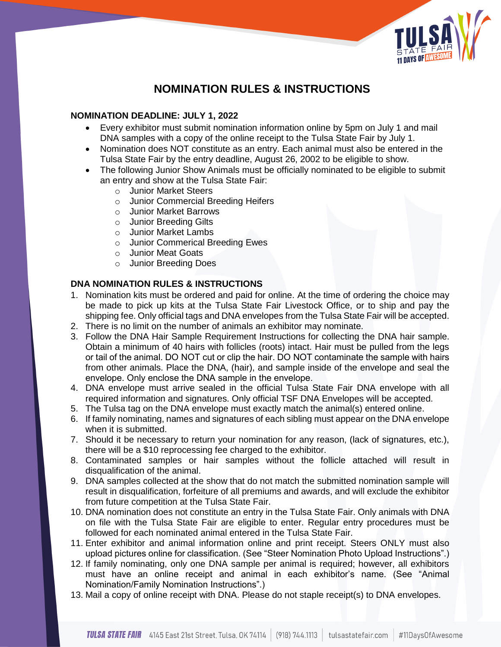

# **NOMINATION RULES & INSTRUCTIONS**

#### **NOMINATION DEADLINE: JULY 1, 2022**

- Every exhibitor must submit nomination information online by 5pm on July 1 and mail DNA samples with a copy of the online receipt to the Tulsa State Fair by July 1.
- Nomination does NOT constitute as an entry. Each animal must also be entered in the Tulsa State Fair by the entry deadline, August 26, 2002 to be eligible to show.
- The following Junior Show Animals must be officially nominated to be eligible to submit an entry and show at the Tulsa State Fair:
	- o Junior Market Steers
	- o Junior Commercial Breeding Heifers
	- o Junior Market Barrows
	- o Junior Breeding Gilts
	- o Junior Market Lambs
	- o Junior Commerical Breeding Ewes
	- o Junior Meat Goats
	- o Junior Breeding Does

## **DNA NOMINATION RULES & INSTRUCTIONS**

- 1. Nomination kits must be ordered and paid for online. At the time of ordering the choice may be made to pick up kits at the Tulsa State Fair Livestock Office, or to ship and pay the shipping fee. Only official tags and DNA envelopes from the Tulsa State Fair will be accepted.
- 2. There is no limit on the number of animals an exhibitor may nominate.
- 3. Follow the DNA Hair Sample Requirement Instructions for collecting the DNA hair sample. Obtain a minimum of 40 hairs with follicles (roots) intact. Hair must be pulled from the legs or tail of the animal. DO NOT cut or clip the hair. DO NOT contaminate the sample with hairs from other animals. Place the DNA, (hair), and sample inside of the envelope and seal the envelope. Only enclose the DNA sample in the envelope.
- 4. DNA envelope must arrive sealed in the official Tulsa State Fair DNA envelope with all required information and signatures. Only official TSF DNA Envelopes will be accepted.
- 5. The Tulsa tag on the DNA envelope must exactly match the animal(s) entered online.
- 6. If family nominating, names and signatures of each sibling must appear on the DNA envelope when it is submitted.
- 7. Should it be necessary to return your nomination for any reason, (lack of signatures, etc.), there will be a \$10 reprocessing fee charged to the exhibitor.
- 8. Contaminated samples or hair samples without the follicle attached will result in disqualification of the animal.
- 9. DNA samples collected at the show that do not match the submitted nomination sample will result in disqualification, forfeiture of all premiums and awards, and will exclude the exhibitor from future competition at the Tulsa State Fair.
- 10. DNA nomination does not constitute an entry in the Tulsa State Fair. Only animals with DNA on file with the Tulsa State Fair are eligible to enter. Regular entry procedures must be followed for each nominated animal entered in the Tulsa State Fair.
- 11. Enter exhibitor and animal information online and print receipt. Steers ONLY must also upload pictures online for classification. (See "Steer Nomination Photo Upload Instructions".)
- 12. If family nominating, only one DNA sample per animal is required; however, all exhibitors must have an online receipt and animal in each exhibitor's name. (See "Animal Nomination/Family Nomination Instructions".)
- 13. Mail a copy of online receipt with DNA. Please do not staple receipt(s) to DNA envelopes.